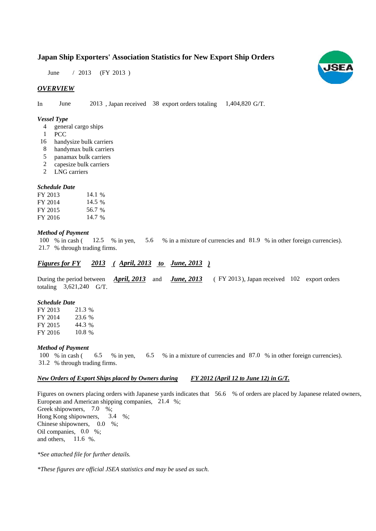# **Japan Ship Exporters' Association Statistics for New Export Ship Orders**

June / 2013 (FY 2013)

### *OVERVIEW*

In June 2013, Japan received 38 export orders totaling 1,404,820 G/T.

#### *Vessel Type*

- general cargo ships 4
- PCC 1
- 16 handysize bulk carriers
- handymax bulk carriers 8
- panamax bulk carriers 5
- capesize bulk carriers 2
- LNG carriers 2

#### *Schedule Date*

| FY 2013 | 14.1 $%$ |
|---------|----------|
| FY 2014 | 14.5 %   |
| FY 2015 | 56.7 %   |
| FY 2016 | 14.7 %   |

#### *Method of Payment*

% in cash ( $\frac{12.5}{8}$  % in yen,  $\frac{5.6}{8}$  % in a mixture of currencies and 81.9 % in other foreign currencies). % through trading firms. 21.7 12.5 % in yen. 5.6 100 % in cash (

### *Figures for FY* 2013 (April, 2013 *to June, 2013*)

During the period between **April, 2013** and **June, 2013** (FY 2013), Japan received 102 export orders totaling  $3,621,240$  G/T. *April, 2013* and *June, 2013* 

#### *Schedule Date*

FY 2013 FY 2014 FY 2015 FY 2016 10.8 21.3 % 23.6 % 44.3

#### *Method of Payment*

100 % in cash (6.5 % in yen, 6.5 % in a mixture of currencies and 87.0 % in other foreign currencies). % through trading firms. 31.2

#### *New Orders of Export Ships placed by Owners during FY 2012 (April 12 to June 12) in G/T.*

Figures on owners placing orders with Japanese yards indicates that 56.6 % of orders are placed by Japanese related owners, European and American shipping companies, 21.4 %; Greek shipowners, 7.0 %;

Hong Kong shipowners, Chinese shipowners,  $0.0\%$ ; Oil companies,  $0.0\%$ ; and others.  $11.6 %$ 3.4 %:

*\*See attached file for further details.*

*\*These figures are official JSEA statistics and may be used as such.*

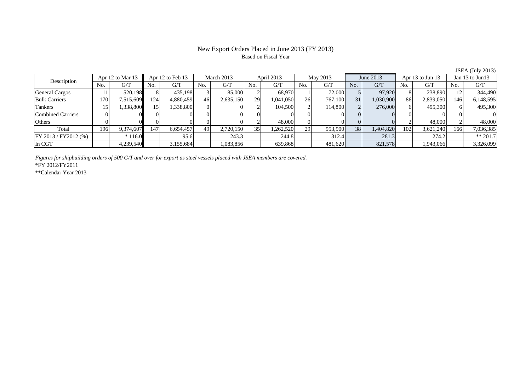#### New Export Orders Placed in June 2013 (FY 2013) Based on Fiscal Year

No. G/T No. G/T No. G/T No. G/T No. G/T No. G/T No. G/T No. G/T $\mathrm{G}/\mathrm{T}$ General Cargos | 11| 520,198|| 8| 435,198| 3| 85,000| 2| 68,970| 1| 72,000| 5| 97,920| 8| 238,890|| 12| 344,490 Bulk Carriers 170 7,515,609 124 4,880,459 46 2,635,150 29 1,041,050 26 767,100 31 1,030,900 86 2,839,050 146 6,148,595 Tankers | 15| 1,338,800|| 15| 1,338,800| 0| 2| 104,500| 2| 114,800| 2| 276,000| 6| 495,300| 6| 495,300 Combined Carriers 0 0 0 0 0 0 0 0 0 0 0 0 0 0 0 0Others 0 0 0 0 0 0 2 48,000 0 0 0 0 2 48,000 2 48,000 Total 196 9,374,607 147 6,654,457 49 2,720,150 35 1,262,520 29 953,900 38 1,404,820 102 3,621,240 166 7,036,385 FY 2013 / FY2012 (%) \* 116.0 95.6 243.3 244.8 312.4 281.3 274.2 \*\* 201.7 In CGT | | 4,239,540|| | 3,155,684| | 1,083,856| | 639,868| | 481,620| | 821,578| | 1,943,066|| | 3,326,099 Apr 12 to Mar 13 Apr 12 to Feb 13 March 2013 April 2013 Jan 13 to Jun13 Description May 2013 June 2013 Apr 13 to Jun 13

*Figures for shipbuilding orders of 500 G/T and over for export as steel vessels placed with JSEA members are covered.*

\*FY 2012/FY2011

\*\*Calendar Year 2013

JSEA (July 2013)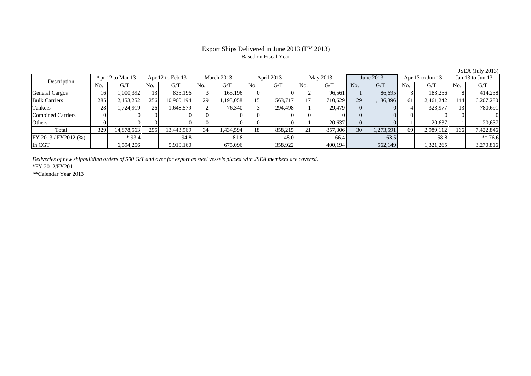## Export Ships Delivered in June 2013 (FY 2013) Based on Fiscal Year

|                         |                  |             |     |                  |                 |            |     |            |     |          |                 |           |     |                  |     | $\frac{1}{2}$    |  |
|-------------------------|------------------|-------------|-----|------------------|-----------------|------------|-----|------------|-----|----------|-----------------|-----------|-----|------------------|-----|------------------|--|
| Description             | Apr 12 to Mar 13 |             |     | Apr 12 to Feb 13 |                 | March 2013 |     | April 2013 |     | May 2013 |                 | June 2013 |     | Apr 13 to Jun 13 |     | Jan 13 to Jun 13 |  |
|                         | No.              | G/T         | No. | G/T              | No.             | G/T        | No. | G/T        | No. | G/T      | N <sub>0</sub>  | G/T       | No. | G/T              | No. | G/T              |  |
| <b>General Cargos</b>   | 16               | 1,000,392   |     | 835.196          |                 | 165.196    |     |            |     | 96.561   |                 | 86,695    |     | 183,256          |     | 414,238          |  |
| <b>Bulk Carriers</b>    | 285              | 12,153,2521 | 256 | 10,960,194       | 29              | 193,058    | 15  | 563,717    |     | 710,629  | 29              | 1,186,896 | 61  | 2,461,242        | 144 | 6,207,280        |  |
| <b>Tankers</b>          | 28               | 1,724,919   | 26  | 1,648,579        |                 | 76,340     |     | 294,498    |     | 29.479   |                 |           |     | 323,977          | 13  | 780,691          |  |
| Combined Carriers       |                  |             |     |                  |                 |            |     |            |     |          |                 |           |     |                  |     |                  |  |
| Others                  |                  |             |     |                  |                 |            |     |            |     | 20,637   |                 |           |     | 20,637           |     | 20,637           |  |
| Total                   | 329              | 14,878,563  | 295 | 13,443,969       | 34 <sub>1</sub> | 1,434,594  | 18  | 858,215    |     | 857,306  | 30 <sup>1</sup> | 1,273,591 | 69  | 2,989,112        | 166 | 7,422,846        |  |
| $FY 2013 / FY 2012$ (%) |                  | $*93.4$     |     | 94.8             |                 | 81.8       |     | 48.0       |     | 66.4     |                 | 63.5      |     | 58.8             |     | $** 76.6$        |  |
| In CGT                  |                  | 6,594,256   |     | 5,919,160        |                 | 675,096    |     | 358,922    |     | 400,194  |                 | 562,149   |     | 1,321,265        |     | 3,270,816        |  |

*Deliveries of new shipbuilding orders of 500 G/T and over for export as steel vessels placed with JSEA members are covered.*

\*FY 2012/FY2011

\*\*Calendar Year 2013

JSEA (July 2013)